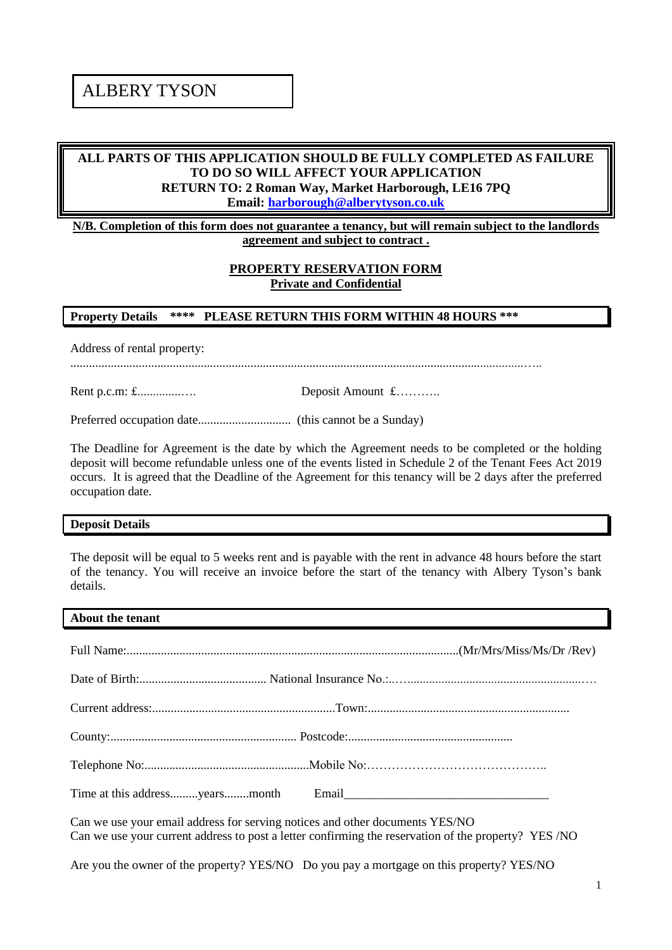# ALBERY TYSON

# **ALL PARTS OF THIS APPLICATION SHOULD BE FULLY COMPLETED AS FAILURE TO DO SO WILL AFFECT YOUR APPLICATION RETURN TO: 2 Roman Way, Market Harborough, LE16 7PQ Email: [harborough@alberytyson.co.uk](mailto:harborough@alberytyson.co.uk)**

**N/B. Completion of this form does not guarantee a tenancy, but will remain subject to the landlords agreement and subject to contract .**

## **PROPERTY RESERVATION FORM Private and Confidential**

#### **Property Details \*\*\*\* PLEASE RETURN THIS FORM WITHIN 48 HOURS \*\*\***

Address of rental property:

..................................................................................................................................................…..

Rent p.c.m: £..............…. Deposit Amount £………..

Preferred occupation date.............................. (this cannot be a Sunday)

The Deadline for Agreement is the date by which the Agreement needs to be completed or the holding deposit will become refundable unless one of the events listed in Schedule 2 of the Tenant Fees Act 2019 occurs. It is agreed that the Deadline of the Agreement for this tenancy will be 2 days after the preferred occupation date.

#### **Deposit Details**

The deposit will be equal to 5 weeks rent and is payable with the rent in advance 48 hours before the start of the tenancy. You will receive an invoice before the start of the tenancy with Albery Tyson's bank details.

#### **About the tenant**

Can we use your email address for serving notices and other documents YES/NO Can we use your current address to post a letter confirming the reservation of the property? YES /NO

Are you the owner of the property? YES/NO Do you pay a mortgage on this property? YES/NO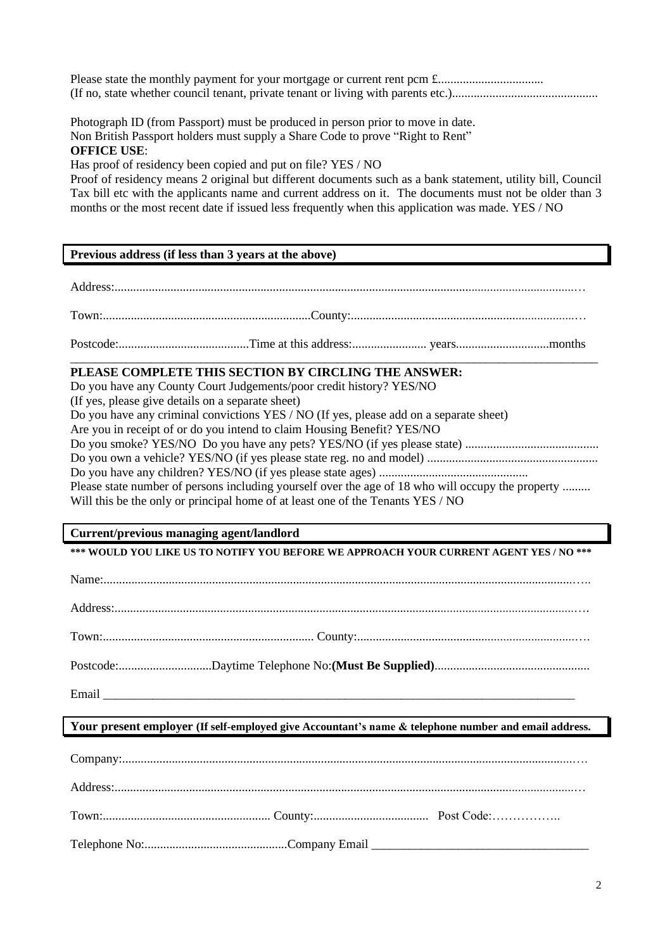Photograph ID (from Passport) must be produced in person prior to move in date. Non British Passport holders must supply a Share Code to prove "Right to Rent" **OFFICE USE**:

Has proof of residency been copied and put on file? YES / NO

Proof of residency means 2 original but different documents such as a bank statement, utility bill, Council Tax bill etc with the applicants name and current address on it. The documents must not be older than 3 months or the most recent date if issued less frequently when this application was made. YES / NO

## **Previous address (if less than 3 years at the above)**

Address:....................................................................................................................................................… Town:...................................................................County:........................................................................…

Postcode:..........................................Time at this address:........................ years..............................months \_\_\_\_\_\_\_\_\_\_\_\_\_\_\_\_\_\_\_\_\_\_\_\_\_\_\_\_\_\_\_\_\_\_\_\_\_\_\_\_\_\_\_\_\_\_\_\_\_\_\_\_\_\_\_\_\_\_\_\_\_\_\_\_\_\_\_\_\_\_\_\_\_\_\_\_\_\_\_\_\_\_\_\_\_

# **PLEASE COMPLETE THIS SECTION BY CIRCLING THE ANSWER:**

Do you have any County Court Judgements/poor credit history? YES/NO (If yes, please give details on a separate sheet) Do you have any criminal convictions YES / NO (If yes, please add on a separate sheet) Are you in receipt of or do you intend to claim Housing Benefit? YES/NO Do you smoke? YES/NO Do you have any pets? YES/NO (if yes please state) ........................................... Do you own a vehicle? YES/NO (if yes please state reg. no and model) ....................................................... Do you have any children? YES/NO (if yes please state ages) ................................................ Please state number of persons including yourself over the age of 18 who will occupy the property ......... Will this be the only or principal home of at least one of the Tenants YES / NO

## **Current/previous managing agent/landlord**

**\*\*\* WOULD YOU LIKE US TO NOTIFY YOU BEFORE WE APPROACH YOUR CURRENT AGENT YES / NO \*\*\***

Email \_\_\_\_\_\_\_\_\_\_\_\_\_\_\_\_\_\_\_\_\_\_\_\_\_\_\_\_\_\_\_\_\_\_\_\_\_\_\_\_\_\_\_\_\_\_\_\_\_\_\_\_\_\_\_\_\_\_\_\_\_\_\_\_\_\_\_\_\_\_\_\_\_\_\_\_

## **Your present employer (If self-employed give Accountant's name & telephone number and email address.**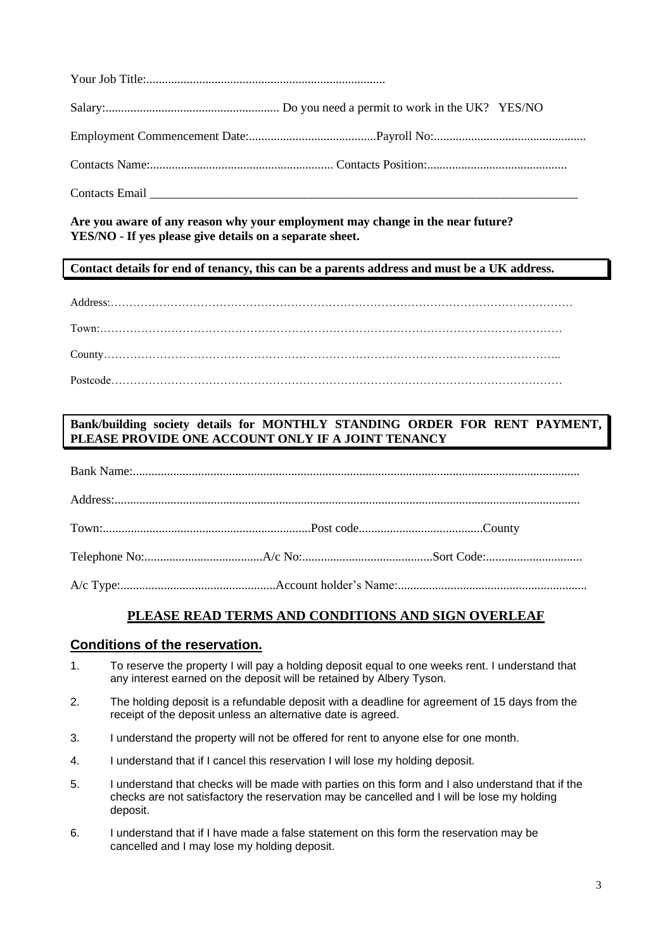**Are you aware of any reason why your employment may change in the near future? YES/NO - If yes please give details on a separate sheet.**

**Contact details for end of tenancy, this can be a parents address and must be a UK address.**

Address:……………………………………………………………………………………………………………

Town:……………………………………………………………………………………………………………

County…………………………………………………………………………………………………………..

Postcode…………………………………………………………………………………………………………

# **Bank/building society details for MONTHLY STANDING ORDER FOR RENT PAYMENT, PLEASE PROVIDE ONE ACCOUNT ONLY IF A JOINT TENANCY**

# **PLEASE READ TERMS AND CONDITIONS AND SIGN OVERLEAF**

## **Conditions of the reservation.**

- 1. To reserve the property I will pay a holding deposit equal to one weeks rent. I understand that any interest earned on the deposit will be retained by Albery Tyson.
- 2. The holding deposit is a refundable deposit with a deadline for agreement of 15 days from the receipt of the deposit unless an alternative date is agreed.
- 3. I understand the property will not be offered for rent to anyone else for one month.
- 4. I understand that if I cancel this reservation I will lose my holding deposit.
- 5. I understand that checks will be made with parties on this form and I also understand that if the checks are not satisfactory the reservation may be cancelled and I will be lose my holding deposit.
- 6. I understand that if I have made a false statement on this form the reservation may be cancelled and I may lose my holding deposit.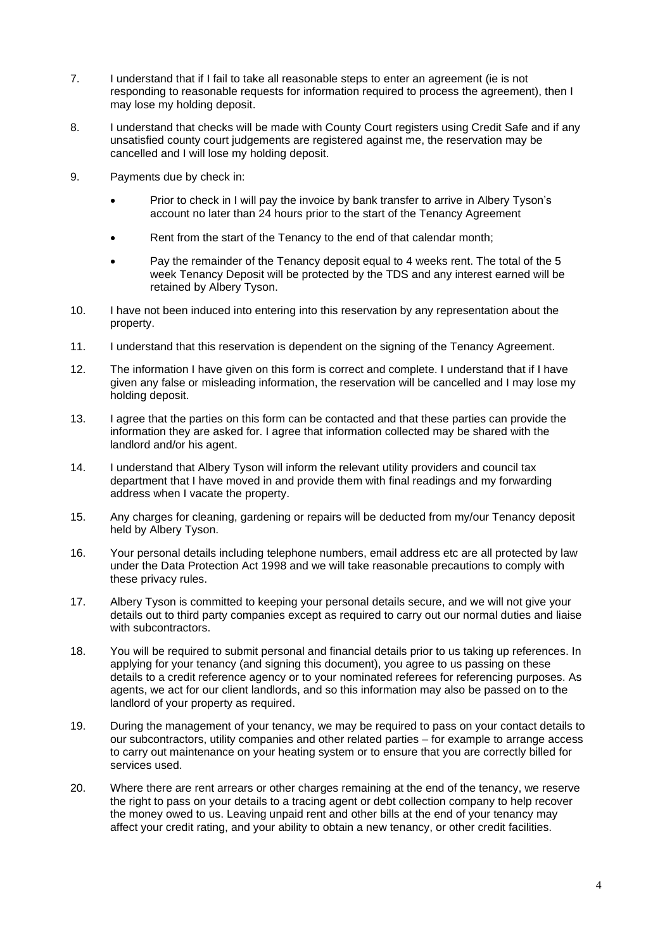- 7. I understand that if I fail to take all reasonable steps to enter an agreement (ie is not responding to reasonable requests for information required to process the agreement), then I may lose my holding deposit.
- 8. I understand that checks will be made with County Court registers using Credit Safe and if any unsatisfied county court judgements are registered against me, the reservation may be cancelled and I will lose my holding deposit.
- 9. Payments due by check in:
	- Prior to check in I will pay the invoice by bank transfer to arrive in Albery Tyson's account no later than 24 hours prior to the start of the Tenancy Agreement
	- Rent from the start of the Tenancy to the end of that calendar month;
	- Pay the remainder of the Tenancy deposit equal to 4 weeks rent. The total of the 5 week Tenancy Deposit will be protected by the TDS and any interest earned will be retained by Albery Tyson.
- 10. I have not been induced into entering into this reservation by any representation about the property.
- 11. I understand that this reservation is dependent on the signing of the Tenancy Agreement.
- 12. The information I have given on this form is correct and complete. I understand that if I have given any false or misleading information, the reservation will be cancelled and I may lose my holding deposit.
- 13. I agree that the parties on this form can be contacted and that these parties can provide the information they are asked for. I agree that information collected may be shared with the landlord and/or his agent.
- 14. I understand that Albery Tyson will inform the relevant utility providers and council tax department that I have moved in and provide them with final readings and my forwarding address when I vacate the property.
- 15. Any charges for cleaning, gardening or repairs will be deducted from my/our Tenancy deposit held by Albery Tyson.
- 16. Your personal details including telephone numbers, email address etc are all protected by law under the Data Protection Act 1998 and we will take reasonable precautions to comply with these privacy rules.
- 17. Albery Tyson is committed to keeping your personal details secure, and we will not give your details out to third party companies except as required to carry out our normal duties and liaise with subcontractors.
- 18. You will be required to submit personal and financial details prior to us taking up references. In applying for your tenancy (and signing this document), you agree to us passing on these details to a credit reference agency or to your nominated referees for referencing purposes. As agents, we act for our client landlords, and so this information may also be passed on to the landlord of your property as required.
- 19. During the management of your tenancy, we may be required to pass on your contact details to our subcontractors, utility companies and other related parties – for example to arrange access to carry out maintenance on your heating system or to ensure that you are correctly billed for services used.
- 20. Where there are rent arrears or other charges remaining at the end of the tenancy, we reserve the right to pass on your details to a tracing agent or debt collection company to help recover the money owed to us. Leaving unpaid rent and other bills at the end of your tenancy may affect your credit rating, and your ability to obtain a new tenancy, or other credit facilities.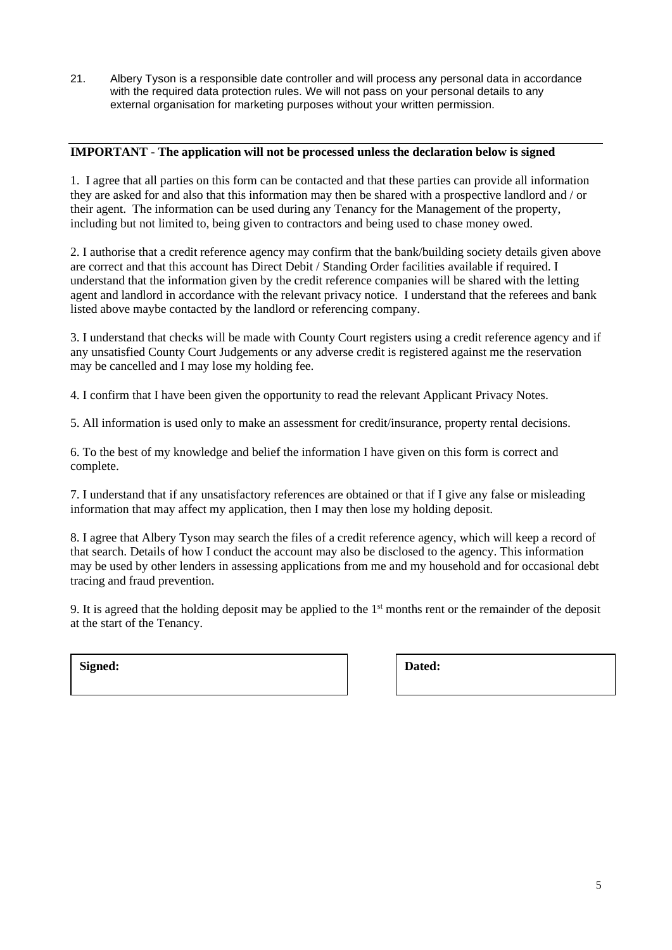21. Albery Tyson is a responsible date controller and will process any personal data in accordance with the required data protection rules. We will not pass on your personal details to any external organisation for marketing purposes without your written permission.

## **IMPORTANT - The application will not be processed unless the declaration below is signed**

1. I agree that all parties on this form can be contacted and that these parties can provide all information they are asked for and also that this information may then be shared with a prospective landlord and / or their agent. The information can be used during any Tenancy for the Management of the property, including but not limited to, being given to contractors and being used to chase money owed.

2. I authorise that a credit reference agency may confirm that the bank/building society details given above are correct and that this account has Direct Debit / Standing Order facilities available if required. I understand that the information given by the credit reference companies will be shared with the letting agent and landlord in accordance with the relevant privacy notice. I understand that the referees and bank listed above maybe contacted by the landlord or referencing company.

3. I understand that checks will be made with County Court registers using a credit reference agency and if any unsatisfied County Court Judgements or any adverse credit is registered against me the reservation may be cancelled and I may lose my holding fee.

4. I confirm that I have been given the opportunity to read the relevant Applicant Privacy Notes.

5. All information is used only to make an assessment for credit/insurance, property rental decisions.

6. To the best of my knowledge and belief the information I have given on this form is correct and complete.

7. I understand that if any unsatisfactory references are obtained or that if I give any false or misleading information that may affect my application, then I may then lose my holding deposit.

8. I agree that Albery Tyson may search the files of a credit reference agency, which will keep a record of that search. Details of how I conduct the account may also be disclosed to the agency. This information may be used by other lenders in assessing applications from me and my household and for occasional debt tracing and fraud prevention.

9. It is agreed that the holding deposit may be applied to the  $1<sup>st</sup>$  months rent or the remainder of the deposit at the start of the Tenancy.

Signed: **Dated: Dated: Dated:**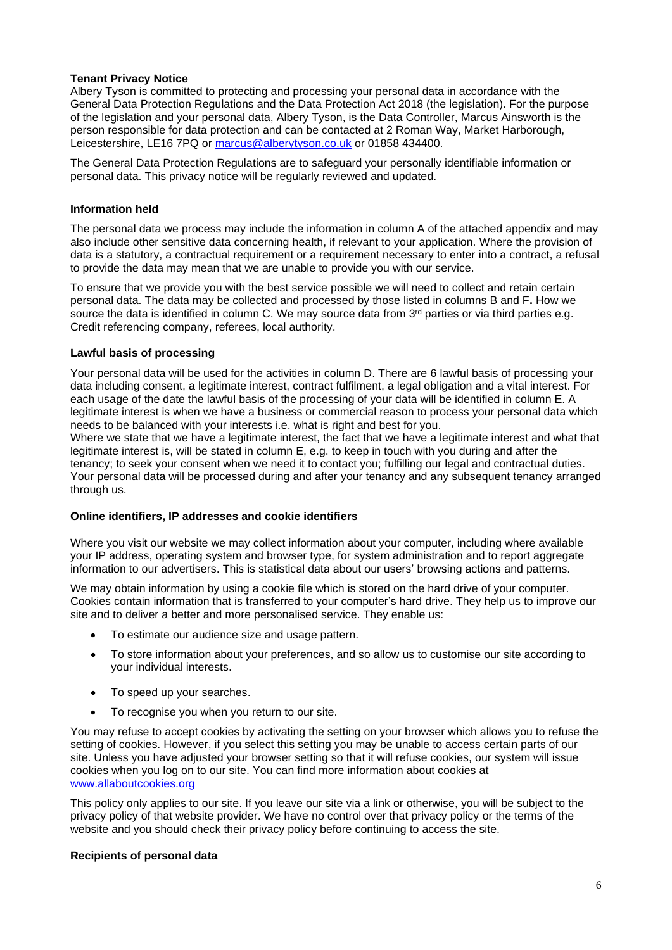## **Tenant Privacy Notice**

Albery Tyson is committed to protecting and processing your personal data in accordance with the General Data Protection Regulations and the Data Protection Act 2018 (the legislation). For the purpose of the legislation and your personal data, Albery Tyson, is the Data Controller, Marcus Ainsworth is the person responsible for data protection and can be contacted at 2 Roman Way, Market Harborough, Leicestershire, LE16 7PQ or [marcus@alberytyson.co.uk](mailto:marcus@alberytyson.co.uk) or 01858 434400.

The General Data Protection Regulations are to safeguard your personally identifiable information or personal data. This privacy notice will be regularly reviewed and updated.

## **Information held**

The personal data we process may include the information in column A of the attached appendix and may also include other sensitive data concerning health, if relevant to your application. Where the provision of data is a statutory, a contractual requirement or a requirement necessary to enter into a contract, a refusal to provide the data may mean that we are unable to provide you with our service.

To ensure that we provide you with the best service possible we will need to collect and retain certain personal data. The data may be collected and processed by those listed in columns B and F**.** How we source the data is identified in column C. We may source data from  $3<sup>rd</sup>$  parties or via third parties e.g. Credit referencing company, referees, local authority.

## **Lawful basis of processing**

Your personal data will be used for the activities in column D. There are 6 lawful basis of processing your data including consent, a legitimate interest, contract fulfilment, a legal obligation and a vital interest. For each usage of the date the lawful basis of the processing of your data will be identified in column E. A legitimate interest is when we have a business or commercial reason to process your personal data which needs to be balanced with your interests i.e. what is right and best for you.

Where we state that we have a legitimate interest, the fact that we have a legitimate interest and what that legitimate interest is, will be stated in column E, e.g. to keep in touch with you during and after the tenancy; to seek your consent when we need it to contact you; fulfilling our legal and contractual duties. Your personal data will be processed during and after your tenancy and any subsequent tenancy arranged through us.

## **Online identifiers, IP addresses and cookie identifiers**

Where you visit our website we may collect information about your computer, including where available your IP address, operating system and browser type, for system administration and to report aggregate information to our advertisers. This is statistical data about our users' browsing actions and patterns.

We may obtain information by using a cookie file which is stored on the hard drive of your computer. Cookies contain information that is transferred to your computer's hard drive. They help us to improve our site and to deliver a better and more personalised service. They enable us:

- To estimate our audience size and usage pattern.
- To store information about your preferences, and so allow us to customise our site according to your individual interests.
- To speed up your searches.
- To recognise you when you return to our site.

You may refuse to accept cookies by activating the setting on your browser which allows you to refuse the setting of cookies. However, if you select this setting you may be unable to access certain parts of our site. Unless you have adjusted your browser setting so that it will refuse cookies, our system will issue cookies when you log on to our site. You can find more information about cookies at [www.allaboutcookies.org](http://www.allaboutcookies.org/)

This policy only applies to our site. If you leave our site via a link or otherwise, you will be subject to the privacy policy of that website provider. We have no control over that privacy policy or the terms of the website and you should check their privacy policy before continuing to access the site.

## **Recipients of personal data**